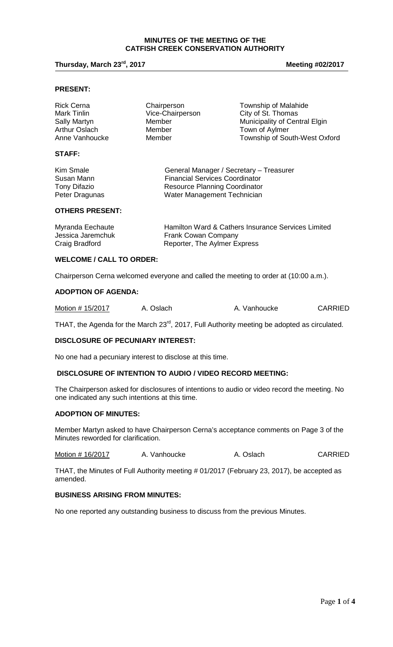#### **MINUTES OF THE MEETING OF THE CATFISH CREEK CONSERVATION AUTHORITY**

# **Thursday, March 23<sup>rd</sup>, 2017 Meeting #02/2017 Meeting #02/2017**

#### **PRESENT:**

| <b>Rick Cerna</b> | Chairperson      | <b>Township of Malahide</b>   |
|-------------------|------------------|-------------------------------|
| Mark Tinlin       | Vice-Chairperson | City of St. Thomas            |
| Sally Martyn      | Member           | Municipality of Central Elgin |
| Arthur Oslach     | Member           | Town of Aylmer                |
| Anne Vanhoucke    | Member           | Township of South-West Oxford |
| <b>STAFF:</b>     |                  |                               |
|                   |                  |                               |

| Kim Smale           | General Manager / Secretary - Treasurer |
|---------------------|-----------------------------------------|
| Susan Mann          | <b>Financial Services Coordinator</b>   |
| <b>Tony Difazio</b> | <b>Resource Planning Coordinator</b>    |
| Peter Dragunas      | Water Management Technician             |

#### **OTHERS PRESENT:**

| Myranda Eechaute  | Hamilton Ward & Cathers Insurance Services Limited |
|-------------------|----------------------------------------------------|
| Jessica Jaremchuk | <b>Frank Cowan Company</b>                         |
| Craig Bradford    | Reporter, The Aylmer Express                       |

# **WELCOME / CALL TO ORDER:**

Chairperson Cerna welcomed everyone and called the meeting to order at (10:00 a.m.).

## **ADOPTION OF AGENDA:**

| Motion # 15/2017 | A. Oslach | A. Vanhoucke | <b>CARRIED</b> |
|------------------|-----------|--------------|----------------|
|------------------|-----------|--------------|----------------|

THAT, the Agenda for the March 23<sup>rd</sup>, 2017, Full Authority meeting be adopted as circulated.

#### **DISCLOSURE OF PECUNIARY INTEREST:**

No one had a pecuniary interest to disclose at this time.

#### **DISCLOSURE OF INTENTION TO AUDIO / VIDEO RECORD MEETING:**

The Chairperson asked for disclosures of intentions to audio or video record the meeting. No one indicated any such intentions at this time.

#### **ADOPTION OF MINUTES:**

Member Martyn asked to have Chairperson Cerna's acceptance comments on Page 3 of the Minutes reworded for clarification.

Motion # 16/2017 A. Vanhoucke A. Oslach CARRIED

THAT, the Minutes of Full Authority meeting # 01/2017 (February 23, 2017), be accepted as amended.

# **BUSINESS ARISING FROM MINUTES:**

No one reported any outstanding business to discuss from the previous Minutes.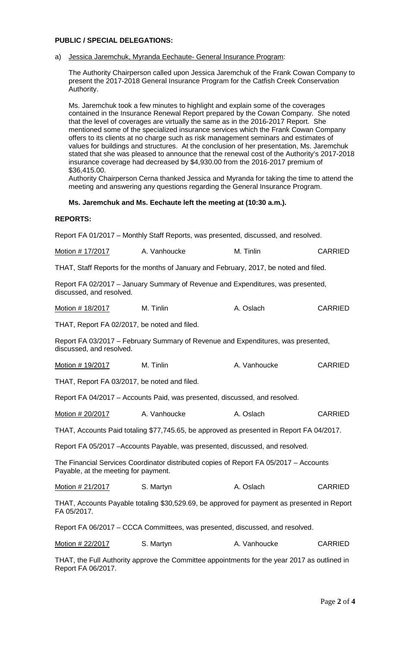# **PUBLIC / SPECIAL DELEGATIONS:**

#### a) Jessica Jaremchuk, Myranda Eechaute- General Insurance Program:

The Authority Chairperson called upon Jessica Jaremchuk of the Frank Cowan Company to present the 2017-2018 General Insurance Program for the Catfish Creek Conservation Authority.

Ms. Jaremchuk took a few minutes to highlight and explain some of the coverages contained in the Insurance Renewal Report prepared by the Cowan Company. She noted that the level of coverages are virtually the same as in the 2016-2017 Report. She mentioned some of the specialized insurance services which the Frank Cowan Company offers to its clients at no charge such as risk management seminars and estimates of values for buildings and structures. At the conclusion of her presentation, Ms. Jaremchuk stated that she was pleased to announce that the renewal cost of the Authority's 2017-2018 insurance coverage had decreased by \$4,930.00 from the 2016-2017 premium of \$36,415.00.

Authority Chairperson Cerna thanked Jessica and Myranda for taking the time to attend the meeting and answering any questions regarding the General Insurance Program.

#### **Ms. Jaremchuk and Ms. Eechaute left the meeting at (10:30 a.m.).**

#### **REPORTS:**

Report FA 01/2017 – Monthly Staff Reports, was presented, discussed, and resolved.

Motion # 17/2017 A. Vanhoucke M. Tinlin CARRIED

THAT, Staff Reports for the months of January and February, 2017, be noted and filed.

Report FA 02/2017 – January Summary of Revenue and Expenditures, was presented, discussed, and resolved.

Motion # 18/2017 M. Tinlin A. Oslach CARRIED

THAT, Report FA 02/2017, be noted and filed.

Report FA 03/2017 – February Summary of Revenue and Expenditures, was presented, discussed, and resolved.

| Motion # 19/2017 | M. Tinlin | A. Vanhoucke | <b>CARRIED</b> |
|------------------|-----------|--------------|----------------|
|------------------|-----------|--------------|----------------|

THAT, Report FA 03/2017, be noted and filed.

Report FA 04/2017 – Accounts Paid, was presented, discussed, and resolved.

Motion # 20/2017 A. Vanhoucke A. Oslach CARRIED

THAT, Accounts Paid totaling \$77,745.65, be approved as presented in Report FA 04/2017.

Report FA 05/2017 –Accounts Payable, was presented, discussed, and resolved.

The Financial Services Coordinator distributed copies of Report FA 05/2017 – Accounts Payable, at the meeting for payment.

Motion # 21/2017 S. Martyn CARRIED S. Martyn A. Oslach CARRIED

THAT, Accounts Payable totaling \$30,529.69, be approved for payment as presented in Report FA 05/2017.

Report FA 06/2017 – CCCA Committees, was presented, discussed, and resolved.

Motion # 22/2017 S. Martyn C. A. Vanhoucke CARRIED

THAT, the Full Authority approve the Committee appointments for the year 2017 as outlined in Report FA 06/2017.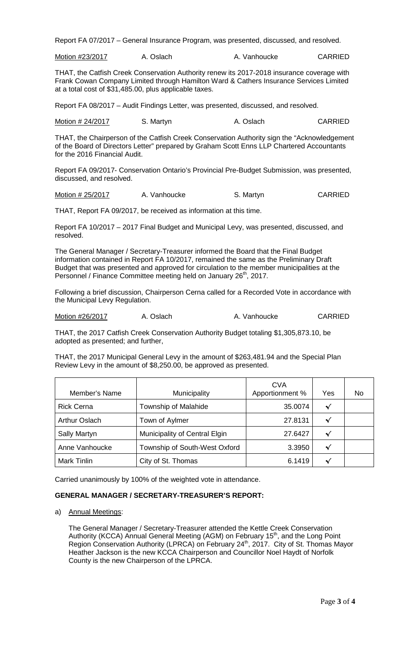Report FA 07/2017 – General Insurance Program, was presented, discussed, and resolved.

Motion #23/2017 A. Oslach A. Vanhoucke CARRIED

THAT, the Catfish Creek Conservation Authority renew its 2017-2018 insurance coverage with Frank Cowan Company Limited through Hamilton Ward & Cathers Insurance Services Limited at a total cost of \$31,485.00, plus applicable taxes.

Report FA 08/2017 – Audit Findings Letter, was presented, discussed, and resolved.

Motion # 24/2017 S. Martyn B. A. Oslach CARRIED

THAT, the Chairperson of the Catfish Creek Conservation Authority sign the "Acknowledgement of the Board of Directors Letter" prepared by Graham Scott Enns LLP Chartered Accountants for the 2016 Financial Audit.

Report FA 09/2017- Conservation Ontario's Provincial Pre-Budget Submission, was presented, discussed, and resolved.

Motion # 25/2017 A. Vanhoucke S. Martyn S. Martyn

THAT, Report FA 09/2017, be received as information at this time.

Report FA 10/2017 – 2017 Final Budget and Municipal Levy, was presented, discussed, and resolved.

The General Manager / Secretary-Treasurer informed the Board that the Final Budget information contained in Report FA 10/2017, remained the same as the Preliminary Draft Budget that was presented and approved for circulation to the member municipalities at the Personnel / Finance Committee meeting held on January 26<sup>th</sup>, 2017.

Following a brief discussion, Chairperson Cerna called for a Recorded Vote in accordance with the Municipal Levy Regulation.

Motion #26/2017 A. Oslach A. Vanhoucke CARRIED

THAT, the 2017 Catfish Creek Conservation Authority Budget totaling \$1,305,873.10, be adopted as presented; and further,

THAT, the 2017 Municipal General Levy in the amount of \$263,481.94 and the Special Plan Review Levy in the amount of \$8,250.00, be approved as presented.

| Member's Name        | Municipality                  | <b>CVA</b><br>Apportionment % | Yes | No |
|----------------------|-------------------------------|-------------------------------|-----|----|
| <b>Rick Cerna</b>    | Township of Malahide          | 35.0074                       | √   |    |
| <b>Arthur Oslach</b> | Town of Aylmer                | 27.8131                       | √   |    |
| Sally Martyn         | Municipality of Central Elgin | 27.6427                       | ᄿ   |    |
| Anne Vanhoucke       | Township of South-West Oxford | 3.3950                        | √   |    |
| Mark Tinlin          | City of St. Thomas            | 6.1419                        |     |    |

Carried unanimously by 100% of the weighted vote in attendance.

### **GENERAL MANAGER / SECRETARY-TREASURER'S REPORT:**

a) Annual Meetings:

The General Manager / Secretary-Treasurer attended the Kettle Creek Conservation Authority (KCCA) Annual General Meeting (AGM) on February 15<sup>th</sup>, and the Long Point Region Conservation Authority (LPRCA) on February 24<sup>th</sup>, 2017. City of St. Thomas Mayor Heather Jackson is the new KCCA Chairperson and Councillor Noel Haydt of Norfolk County is the new Chairperson of the LPRCA.